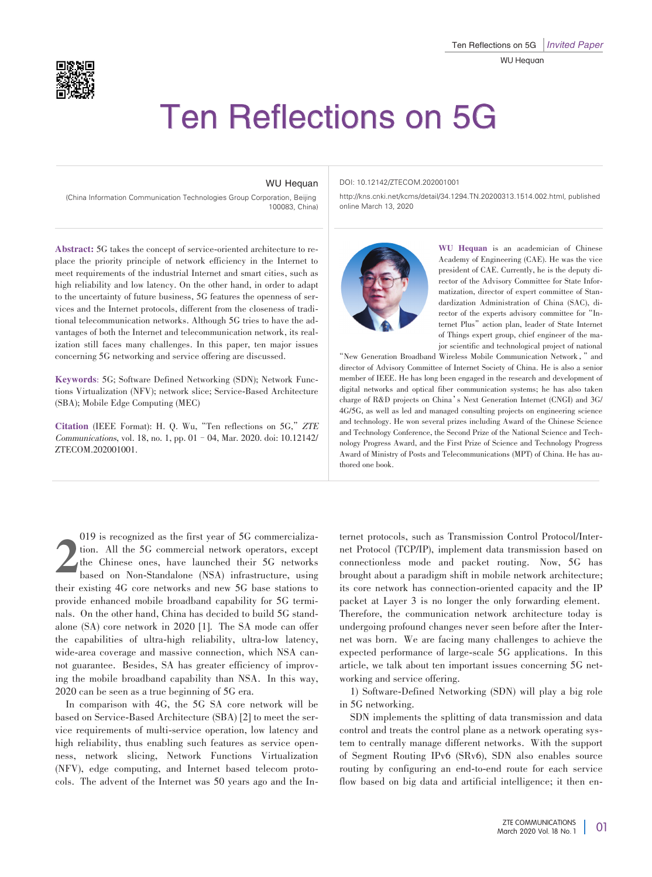

## Ten Reflections on 5G

## WU Hequan

(China Information Communication Technologies Group Corporation, Beijing 100083, China)

## DOI: 10.12142/ZTECOM.202001001

http://kns.cnki.net/kcms/detail/34.1294.TN.20200313.1514.002.html, published online March 13, 2020

Abstract: 5G takes the concept of service-oriented architecture to replace the priority principle of network efficiency in the Internet to meet requirements of the industrial Internet and smart cities, such as high reliability and low latency. On the other hand, in order to adapt to the uncertainty of future business, 5G features the openness of services and the Internet protocols, different from the closeness of traditional telecommunication networks. Although 5G tries to have the advantages of both the Internet and telecommunication network, its realization still faces many challenges. In this paper, ten major issues concerning 5G networking and service offering are discussed.

Keywords: 5G; Software Defined Networking (SDN); Network Functions Virtualization (NFV); network slice; Service-Based Architecture (SBA); Mobile Edge Computing (MEC)

Citation (IEEE Format): H. Q. Wu, "Ten reflections on 5G," ZTE Communications, vol. 18, no. 1, pp. 01–04, Mar. 2020. doi: 10.12142/ ZTECOM.202001001.



WU Hequan is an academician of Chinese Academy of Engineering (CAE). He was the vice president of CAE. Currently, he is the deputy director of the Advisory Committee for State Informatization, director of expert committee of Standardization Administration of China (SAC), director of the experts advisory committee for "Internet Plus"action plan, leader of State Internet of Things expert group, chief engineer of the major scientific and technological project of national

"New Generation Broadband Wireless Mobile Communication Network,"and director of Advisory Committee of Internet Society of China. He is also a senior member of IEEE. He has long been engaged in the research and development of digital networks and optical fiber communication systems; he has also taken charge of R&D projects on China's Next Generation Internet (CNGI) and 3G/ 4G/5G, as well as led and managed consulting projects on engineering science and technology. He won several prizes including Award of the Chinese Science and Technology Conference, the Second Prize of the National Science and Technology Progress Award, and the First Prize of Science and Technology Progress Award of Ministry of Posts and Telecommunications (MPT) of China. He has authored one book.

2 019 is recognized as the first year of 5G commercialization. All the 5G commercial network operators, except the Chinese ones, have launched their 5G networks based on Non-Standalone (NSA) infrastructure, using their existing 4G core networks and new 5G base stations to provide enhanced mobile broadband capability for 5G terminals. On the other hand, China has decided to build 5G standalone (SA) core network in 2020 [1]. The SA mode can offer the capabilities of ultra-high reliability, ultra-low latency, wide-area coverage and massive connection, which NSA cannot guarantee. Besides, SA has greater efficiency of improving the mobile broadband capability than NSA. In this way, 2020 can be seen as a true beginning of 5G era.

In comparison with 4G, the 5G SA core network will be based on Service-Based Architecture (SBA) [2] to meet the service requirements of multi-service operation, low latency and high reliability, thus enabling such features as service openness, network slicing, Network Functions Virtualization (NFV), edge computing, and Internet based telecom protocols. The advent of the Internet was 50 years ago and the Internet protocols, such as Transmission Control Protocol/Internet Protocol (TCP/IP), implement data transmission based on connectionless mode and packet routing. Now, 5G has brought about a paradigm shift in mobile network architecture; its core network has connection-oriented capacity and the IP packet at Layer 3 is no longer the only forwarding element. Therefore, the communication network architecture today is undergoing profound changes never seen before after the Internet was born. We are facing many challenges to achieve the expected performance of large-scale 5G applications. In this article, we talk about ten important issues concerning 5G networking and service offering.

1) Software-Defined Networking (SDN) will play a big role in 5G networking.

SDN implements the splitting of data transmission and data control and treats the control plane as a network operating system to centrally manage different networks. With the support of Segment Routing IPv6 (SRv6), SDN also enables source routing by configuring an end-to-end route for each service flow based on big data and artificial intelligence; it then en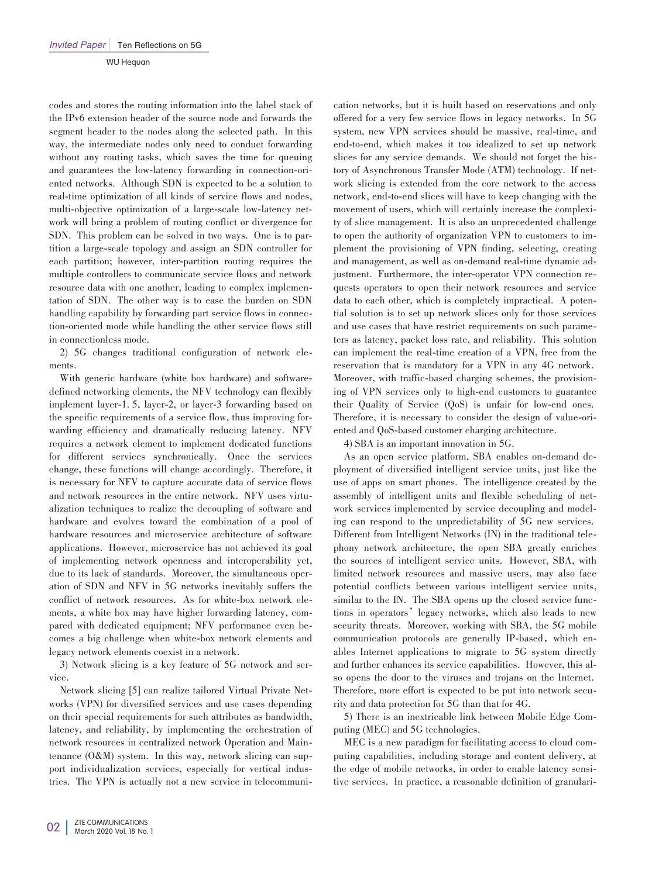WU Hequan

codes and stores the routing information into the label stack of the IPv6 extension header of the source node and forwards the segment header to the nodes along the selected path. In this way, the intermediate nodes only need to conduct forwarding without any routing tasks, which saves the time for queuing and guarantees the low-latency forwarding in connection-oriented networks. Although SDN is expected to be a solution to real-time optimization of all kinds of service flows and nodes, multi-objective optimization of a large-scale low-latency network will bring a problem of routing conflict or divergence for SDN. This problem can be solved in two ways. One is to partition a large-scale topology and assign an SDN controller for each partition; however, inter-partition routing requires the multiple controllers to communicate service flows and network resource data with one another, leading to complex implementation of SDN. The other way is to ease the burden on SDN handling capability by forwarding part service flows in connection-oriented mode while handling the other service flows still in connectionless mode.

2) 5G changes traditional configuration of network elements.

With generic hardware (white box hardware) and softwaredefined networking elements, the NFV technology can flexibly implement layer-1. 5, layer-2, or layer-3 forwarding based on the specific requirements of a service flow, thus improving forwarding efficiency and dramatically reducing latency. NFV requires a network element to implement dedicated functions for different services synchronically. Once the services change, these functions will change accordingly. Therefore, it is necessary for NFV to capture accurate data of service flows and network resources in the entire network. NFV uses virtualization techniques to realize the decoupling of software and hardware and evolves toward the combination of a pool of hardware resources and microservice architecture of software applications. However, microservice has not achieved its goal of implementing network openness and interoperability yet, due to its lack of standards. Moreover, the simultaneous operation of SDN and NFV in 5G networks inevitably suffers the conflict of network resources. As for white-box network elements, a white box may have higher forwarding latency, compared with dedicated equipment; NFV performance even becomes a big challenge when white-box network elements and legacy network elements coexist in a network.

3) Network slicing is a key feature of 5G network and service.

Network slicing [5] can realize tailored Virtual Private Networks (VPN) for diversified services and use cases depending on their special requirements for such attributes as bandwidth, latency, and reliability, by implementing the orchestration of network resources in centralized network Operation and Maintenance  $(0\&M)$  system. In this way, network slicing can support individualization services, especially for vertical industries. The VPN is actually not a new service in telecommuni-

cation networks, but it is built based on reservations and only offered for a very few service flows in legacy networks. In 5G system, new VPN services should be massive, real-time, and end-to-end, which makes it too idealized to set up network slices for any service demands. We should not forget the history of Asynchronous Transfer Mode (ATM) technology. If network slicing is extended from the core network to the access network, end-to-end slices will have to keep changing with the movement of users, which will certainly increase the complexity of slice management. It is also an unprecedented challenge to open the authority of organization VPN to customers to implement the provisioning of VPN finding, selecting, creating and management, as well as on-demand real-time dynamic adjustment. Furthermore, the inter-operator VPN connection requests operators to open their network resources and service data to each other, which is completely impractical. A potential solution is to set up network slices only for those services and use cases that have restrict requirements on such parameters as latency, packet loss rate, and reliability. This solution can implement the real-time creation of a VPN, free from the reservation that is mandatory for a VPN in any 4G network. Moreover, with traffic-based charging schemes, the provisioning of VPN services only to high-end customers to guarantee their Quality of Service (QoS) is unfair for low-end ones. Therefore, it is necessary to consider the design of value-oriented and QoS-based customer charging architecture.

4) SBA is an important innovation in 5G.

As an open service platform, SBA enables on-demand deployment of diversified intelligent service units, just like the use of apps on smart phones. The intelligence created by the assembly of intelligent units and flexible scheduling of network services implemented by service decoupling and modeling can respond to the unpredictability of 5G new services. Different from Intelligent Networks (IN) in the traditional telephony network architecture, the open SBA greatly enriches the sources of intelligent service units. However, SBA, with limited network resources and massive users, may also face potential conflicts between various intelligent service units, similar to the IN. The SBA opens up the closed service functions in operators'legacy networks, which also leads to new security threats. Moreover, working with SBA, the 5G mobile communication protocols are generally IP-based, which enables Internet applications to migrate to 5G system directly and further enhances its service capabilities. However, this also opens the door to the viruses and trojans on the Internet. Therefore, more effort is expected to be put into network security and data protection for 5G than that for 4G.

5) There is an inextricable link between Mobile Edge Com⁃ puting (MEC) and 5G technologies.

MEC is a new paradigm for facilitating access to cloud computing capabilities, including storage and content delivery, at the edge of mobile networks, in order to enable latency sensitive services. In practice, a reasonable definition of granulari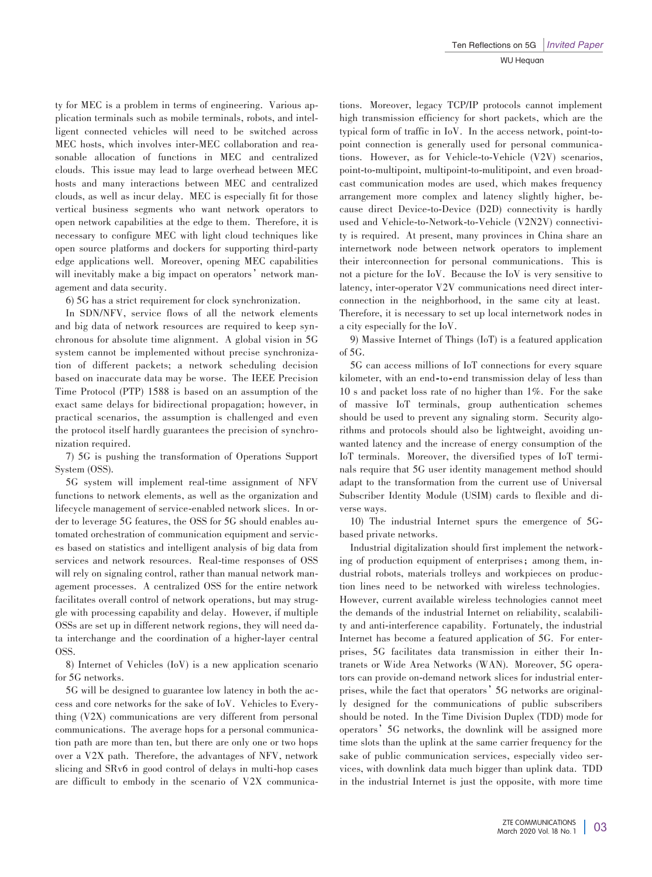ty for MEC is a problem in terms of engineering. Various application terminals such as mobile terminals, robots, and intelligent connected vehicles will need to be switched across MEC hosts, which involves inter-MEC collaboration and reasonable allocation of functions in MEC and centralized clouds. This issue may lead to large overhead between MEC hosts and many interactions between MEC and centralized clouds, as well as incur delay. MEC is especially fit for those vertical business segments who want network operators to open network capabilities at the edge to them. Therefore, it is necessary to configure MEC with light cloud techniques like open source platforms and dockers for supporting third-party edge applications well. Moreover, opening MEC capabilities will inevitably make a big impact on operators' network management and data security.

6) 5G has a strict requirement for clock synchronization.

In SDN/NFV, service flows of all the network elements and big data of network resources are required to keep synchronous for absolute time alignment. A global vision in 5G system cannot be implemented without precise synchronization of different packets; a network scheduling decision based on inaccurate data may be worse. The IEEE Precision Time Protocol (PTP) 1588 is based on an assumption of the exact same delays for bidirectional propagation; however, in practical scenarios, the assumption is challenged and even the protocol itself hardly guarantees the precision of synchronization required.

7) 5G is pushing the transformation of Operations Support System (OSS).

5G system will implement real-time assignment of NFV functions to network elements, as well as the organization and lifecycle management of service-enabled network slices. In order to leverage 5G features, the OSS for 5G should enables automated orchestration of communication equipment and services based on statistics and intelligent analysis of big data from services and network resources. Real-time responses of OSS will rely on signaling control, rather than manual network management processes. A centralized OSS for the entire network facilitates overall control of network operations, but may struggle with processing capability and delay. However, if multiple OSSs are set up in different network regions, they will need data interchange and the coordination of a higher-layer central OSS.

8) Internet of Vehicles (IoV) is a new application scenario for 5G networks.

5G will be designed to guarantee low latency in both the access and core networks for the sake of IoV. Vehicles to Everything (V2X) communications are very different from personal communications. The average hops for a personal communication path are more than ten, but there are only one or two hops over a V2X path. Therefore, the advantages of NFV, network slicing and SRv6 in good control of delays in multi-hop cases are difficult to embody in the scenario of V2X communications. Moreover, legacy TCP/IP protocols cannot implement high transmission efficiency for short packets, which are the typical form of traffic in IoV. In the access network, point-topoint connection is generally used for personal communications. However, as for Vehicle-to-Vehicle (V2V) scenarios, point-to-multipoint, multipoint-to-mulitipoint, and even broadcast communication modes are used, which makes frequency arrangement more complex and latency slightly higher, because direct Device-to-Device (D2D) connectivity is hardly used and Vehicle-to-Network-to-Vehicle (V2N2V) connectivity is required. At present, many provinces in China share an internetwork node between network operators to implement their interconnection for personal communications. This is not a picture for the IoV. Because the IoV is very sensitive to latency, inter-operator V2V communications need direct interconnection in the neighborhood, in the same city at least. Therefore, it is necessary to set up local internetwork nodes in a city especially for the IoV.

9) Massive Internet of Things (IoT) is a featured application of 5G.

5G can access millions of IoT connections for every square kilometer, with an end-to-end transmission delay of less than 10 s and packet loss rate of no higher than 1%. For the sake of massive IoT terminals, group authentication schemes should be used to prevent any signaling storm. Security algorithms and protocols should also be lightweight, avoiding unwanted latency and the increase of energy consumption of the IoT terminals. Moreover, the diversified types of IoT terminals require that 5G user identity management method should adapt to the transformation from the current use of Universal Subscriber Identity Module (USIM) cards to flexible and diverse ways.

10) The industrial Internet spurs the emergence of 5Gbased private networks.

Industrial digitalization should first implement the network⁃ ing of production equipment of enterprises; among them, industrial robots, materials trolleys and workpieces on production lines need to be networked with wireless technologies. However, current available wireless technologies cannot meet the demands of the industrial Internet on reliability, scalability and anti-interference capability. Fortunately, the industrial Internet has become a featured application of 5G. For enterprises, 5G facilitates data transmission in either their Intranets or Wide Area Networks (WAN). Moreover, 5G operators can provide on-demand network slices for industrial enterprises, while the fact that operators' 5G networks are originally designed for the communications of public subscribers should be noted. In the Time Division Duplex (TDD) mode for operators'5G networks, the downlink will be assigned more time slots than the uplink at the same carrier frequency for the sake of public communication services, especially video services, with downlink data much bigger than uplink data. TDD in the industrial Internet is just the opposite, with more time